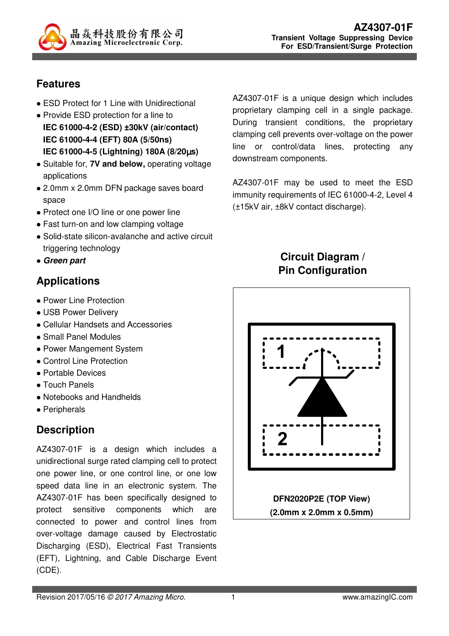

### **Features**

- ESD Protect for 1 Line with Unidirectional
- Provide ESD protection for a line to
- **IEC 61000-4-2 (ESD) ±30kV (air/contact) IEC 61000-4-4 (EFT) 80A (5/50ns) IEC 61000-4-5 (Lightning) 180A (8/20**µ**s)**
- Suitable for, **7V and below,** operating voltage applications
- 2.0mm x 2.0mm DFN package saves board space
- Protect one I/O line or one power line
- Fast turn-on and low clamping voltage
- Solid-state silicon-avalanche and active circuit triggering technology
- **Green part**

# **Applications**

- Power Line Protection
- USB Power Delivery
- Cellular Handsets and Accessories
- Small Panel Modules
- Power Mangement System
- Control Line Protection
- Portable Devices
- Touch Panels
- Notebooks and Handhelds
- Peripherals

# **Description**

AZ4307-01F is a design which includes a unidirectional surge rated clamping cell to protect one power line, or one control line, or one low speed data line in an electronic system. The AZ4307-01F has been specifically designed to protect sensitive components which are connected to power and control lines from over-voltage damage caused by Electrostatic Discharging (ESD), Electrical Fast Transients (EFT), Lightning, and Cable Discharge Event (CDE).

AZ4307-01F is a unique design which includes proprietary clamping cell in a single package. During transient conditions, the proprietary clamping cell prevents over-voltage on the power line or control/data lines, protecting any downstream components.

AZ4307-01F may be used to meet the ESD immunity requirements of IEC 61000-4-2, Level 4 (±15kV air, ±8kV contact discharge).

## **Circuit Diagram / Pin Configuration**

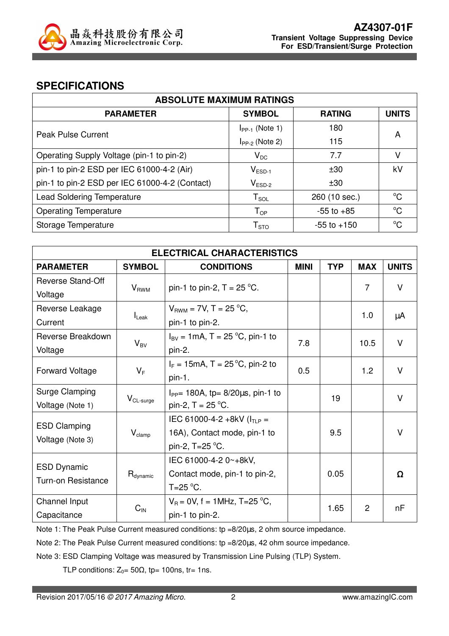

#### **SPECIFICATIONS**

| <b>ABSOLUTE MAXIMUM RATINGS</b>                |                               |                 |              |  |
|------------------------------------------------|-------------------------------|-----------------|--------------|--|
| <b>PARAMETER</b>                               | <b>SYMBOL</b>                 | <b>RATING</b>   | <b>UNITS</b> |  |
| Peak Pulse Current                             | $I_{PP-1}$ (Note 1)           | 180             | A            |  |
|                                                | $I_{PP-2}$ (Note 2)           | 115             |              |  |
| Operating Supply Voltage (pin-1 to pin-2)      | $V_{DC}$                      | 7.7             | V            |  |
| pin-1 to pin-2 ESD per IEC 61000-4-2 (Air)     | $V_{ESD-1}$                   | ±30             | kV           |  |
| pin-1 to pin-2 ESD per IEC 61000-4-2 (Contact) | $\mathsf{V}_{\mathsf{ESD-2}}$ | ±30             |              |  |
| <b>Lead Soldering Temperature</b>              | $T_{SOL}$                     | 260 (10 sec.)   | $^{\circ}C$  |  |
| <b>Operating Temperature</b>                   | $\mathsf{T}_{\mathsf{OP}}$    | $-55$ to $+85$  | $^{\circ}C$  |  |
| Storage Temperature                            | ${\sf T}_{\text{STO}}$        | $-55$ to $+150$ | $^{\circ}C$  |  |

| <b>ELECTRICAL CHARACTERISTICS</b>               |                    |                                                                                     |     |            |            |              |
|-------------------------------------------------|--------------------|-------------------------------------------------------------------------------------|-----|------------|------------|--------------|
| <b>PARAMETER</b>                                | <b>SYMBOL</b>      | <b>CONDITIONS</b>                                                                   |     | <b>TYP</b> | <b>MAX</b> | <b>UNITS</b> |
| <b>Reverse Stand-Off</b>                        | $V_{RWM}$          | pin-1 to pin-2, $T = 25$ °C.                                                        |     |            | 7          | V            |
| Voltage                                         |                    |                                                                                     |     |            |            |              |
| Reverse Leakage                                 |                    | $V_{BWM}$ = 7V, T = 25 °C,                                                          |     |            | 1.0        | μA           |
| Current                                         | $I_{\text{Leak}}$  | pin-1 to pin-2.                                                                     |     |            |            |              |
| Reverse Breakdown                               |                    | $I_{\text{BV}} = 1 \text{mA}, T = 25 \text{ °C}, \text{pin-1 to}$                   | 7.8 |            | 10.5       | V            |
| Voltage                                         | $V_{BV}$           | pin-2.                                                                              |     |            |            |              |
| <b>Forward Voltage</b>                          | $V_F$              | $I_F = 15 \text{mA}, T = 25 \degree \text{C}, \text{pin-2 to}$<br>pin-1.            | 0.5 |            | 1.2        | $\vee$       |
| Surge Clamping<br>Voltage (Note 1)              | $V_{CL-surface}$   | $I_{PP}$ = 180A, tp= 8/20 $\mu$ s, pin-1 to<br>pin-2, $T = 25$ °C.                  |     | 19         |            | $\vee$       |
| <b>ESD Clamping</b><br>Voltage (Note 3)         | $V_{\text{clamp}}$ | IEC 61000-4-2 +8kV ( $I_{TLP}$ =<br>16A), Contact mode, pin-1 to<br>pin-2, T=25 °C. |     | 9.5        |            | $\vee$       |
| <b>ESD Dynamic</b><br><b>Turn-on Resistance</b> | $H_{dynamic}$      | IEC 61000-4-2 0~+8kV,<br>Contact mode, pin-1 to pin-2,<br>$T=25$ °C.                |     | 0.05       |            | Ω            |
| Channel Input<br>Capacitance                    | $C_{\text{IN}}$    | $V_B = 0V$ , f = 1MHz, T=25 °C,<br>pin-1 to pin-2.                                  |     | 1.65       | 2          | nF           |

Note 1: The Peak Pulse Current measured conditions: tp =8/20us, 2 ohm source impedance.

Note 2: The Peak Pulse Current measured conditions: tp =8/20us, 42 ohm source impedance.

Note 3: ESD Clamping Voltage was measured by Transmission Line Pulsing (TLP) System.

TLP conditions:  $Z_0 = 50\Omega$ , tp= 100ns, tr= 1ns.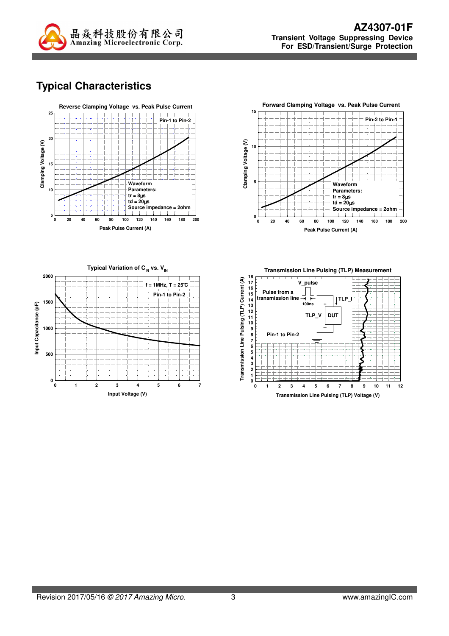

# **Typical Characteristics**





**Typical Variation of C<sub>IN</sub> vs. V<sub>IN</sub> 2000 f = 1MHz, T = 25**°**C Pin-1 to Pin-2 1500** Input Capacitance (pF) **Input Capacitance (pF) 1000 500 0 0 1 2 3 4 5 6 7 Input Voltage (V)**

**Transmission Line Pulsing (TLP) Measurement**

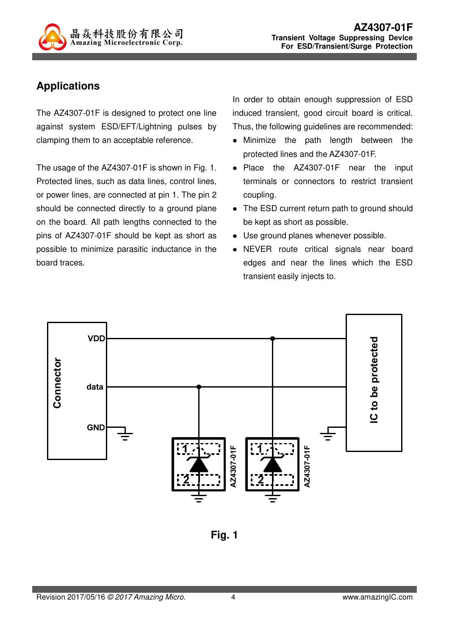

## **Applications**

The AZ4307-01F is designed to protect one line against system ESD/EFT/Lightning pulses by clamping them to an acceptable reference.

The usage of the AZ4307-01F is shown in Fig. 1. Protected lines, such as data lines, control lines, or power lines, are connected at pin 1. The pin 2 should be connected directly to a ground plane on the board. All path lengths connected to the pins of AZ4307-01F should be kept as short as possible to minimize parasitic inductance in the board traces.

In order to obtain enough suppression of ESD induced transient, good circuit board is critical. Thus, the following guidelines are recommended:

- Minimize the path length between the protected lines and the AZ4307-01F.
- Place the AZ4307-01F near the input terminals or connectors to restrict transient coupling.
- The ESD current return path to ground should be kept as short as possible.
- Use ground planes whenever possible.
- NEVER route critical signals near board edges and near the lines which the ESD transient easily injects to.



**Fig. 1**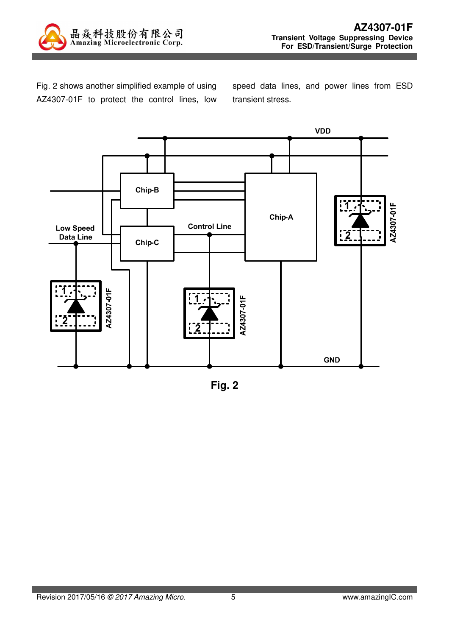

Fig. 2 shows another simplified example of using AZ4307-01F to protect the control lines, low speed data lines, and power lines from ESD transient stress.



**Fig. 2**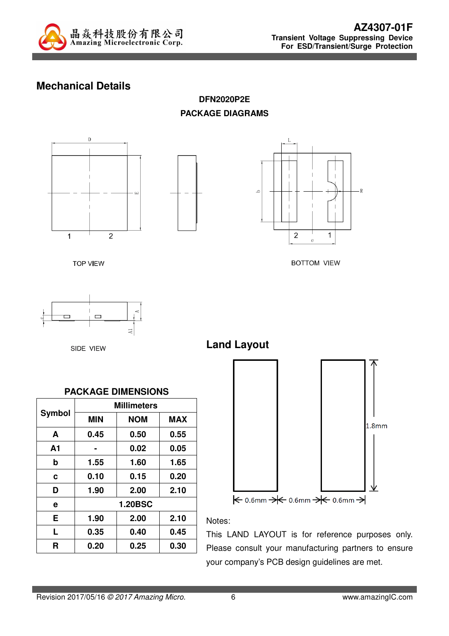

## **Mechanical Details**

**DFN2020P2E PACKAGE DIAGRAMS** 







**BOTTOM VIEW** 

**TOP VIEW** 

 $\Box$  $_{\rm A1}$ 

SIDE VIEW



**Land Layout**





Notes:

This LAND LAYOUT is for reference purposes only. Please consult your manufacturing partners to ensure your company's PCB design guidelines are met.

$$
\overbrace{\hspace{1.5cm}}
$$